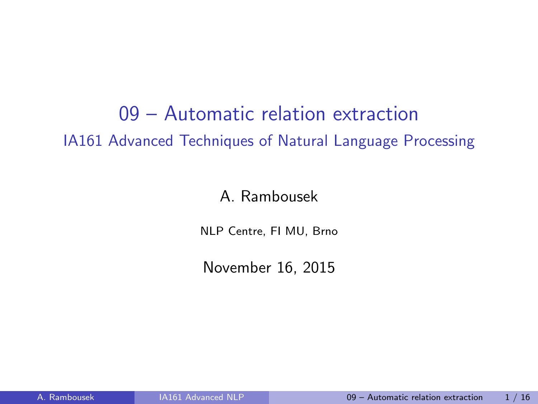09 – Automatic relation extraction IA161 Advanced Techniques of Natural Language Processing

A. Rambousek

NLP Centre, FI MU, Brno

<span id="page-0-0"></span>November 16, 2015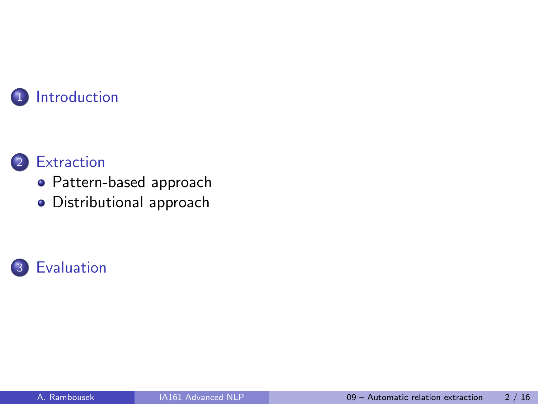

## 2 [Extraction](#page-5-0)

- [Pattern-based approach](#page-6-0)
- [Distributional approach](#page-21-0)

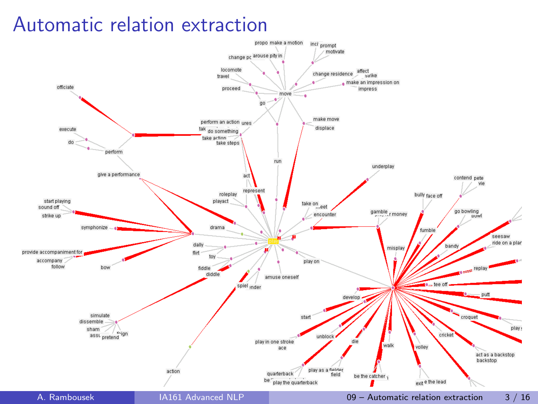## Automatic relation extraction

<span id="page-2-0"></span>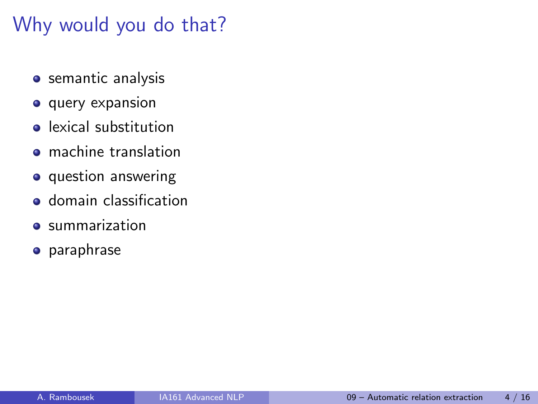# Why would you do that?

- **•** semantic analysis
- **o** query expansion
- **e** lexical substitution
- **•** machine translation
- o question answering
- **o** domain classification
- **summarization**
- **•** paraphrase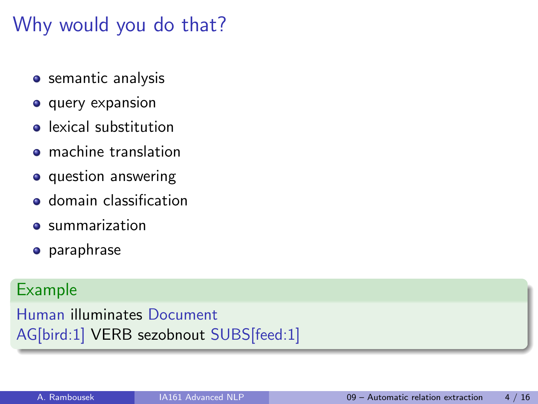# Why would you do that?

- **•** semantic analysis
- **o** query expansion
- **•** lexical substitution
- **•** machine translation
- **o** question answering
- **o** domain classification
- $\bullet$  summarization
- **•** paraphrase

### Example

Human illuminates Document AG[bird:1] VERB sezobnout SUBS[feed:1]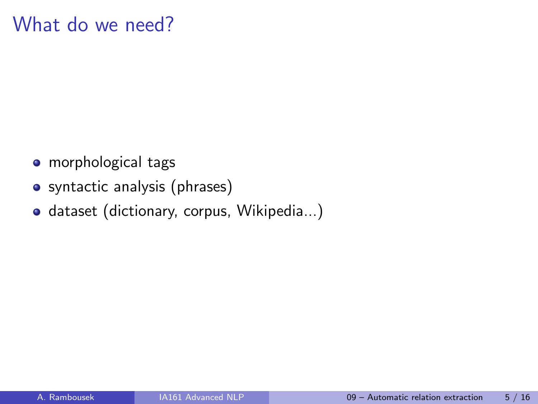# What do we need?

- morphological tags
- syntactic analysis (phrases)
- <span id="page-5-0"></span>o dataset (dictionary, corpus, Wikipedia...)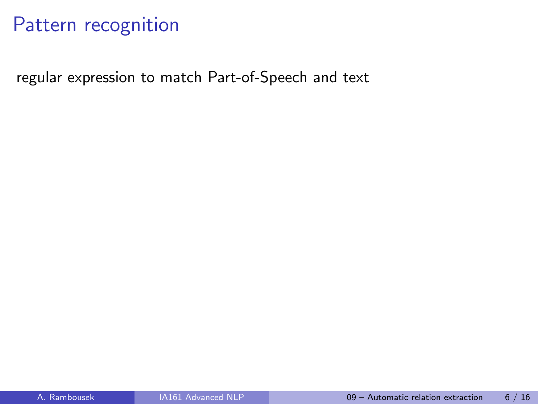<span id="page-6-0"></span>regular expression to match Part-of-Speech and text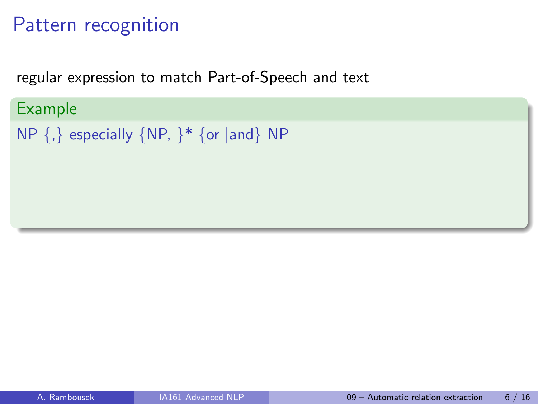Example

regular expression to match Part-of-Speech and text

NP  $\{,\}$  especially  $\{NP, \}^*$   $\{or \text{ and } \}$  NP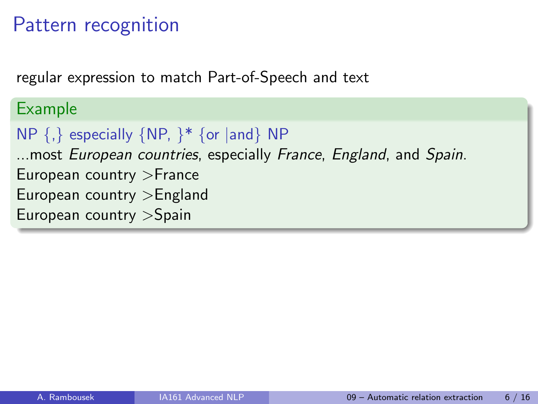regular expression to match Part-of-Speech and text

```
Example
NP {,} especially {NP, }* {or |and} NP
...most European countries, especially France, England, and Spain.
European country >France
European country >England
European country >Spain
```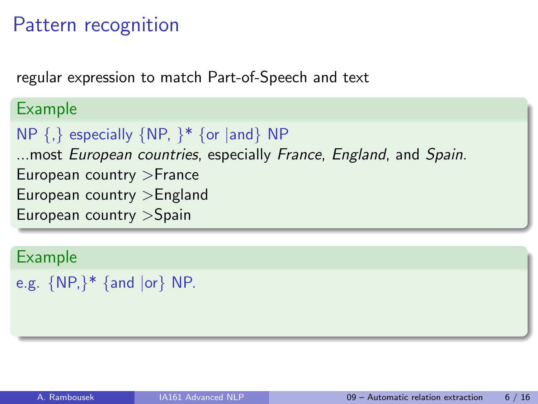regular expression to match Part-of-Speech and text

### Example

```
NP \{,\} especially \{NP, \}^* \{or \} and \} NP
```
...most European countries, especially France, England, and Spain. European country >France European country >England European country >Spain

```
e.g. {NP,}* {and |or} NP.
```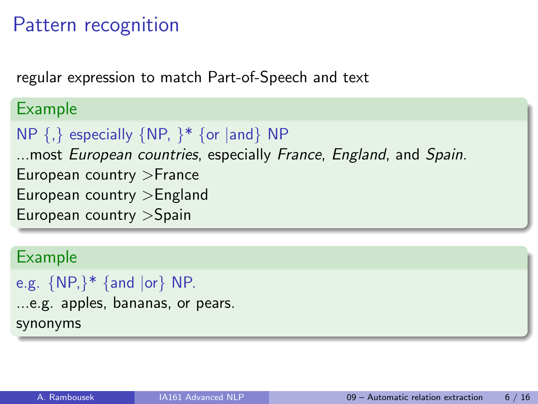regular expression to match Part-of-Speech and text

### Example

```
NP \{,\} especially \{NP, \}^* \{or \} and \} NP
```
...most European countries, especially France, England, and Spain. European country >France

European country >England

European country >Spain

### Example

```
e.g. {NP,}* {and |or} NP.
```
...e.g. apples, bananas, or pears. synonyms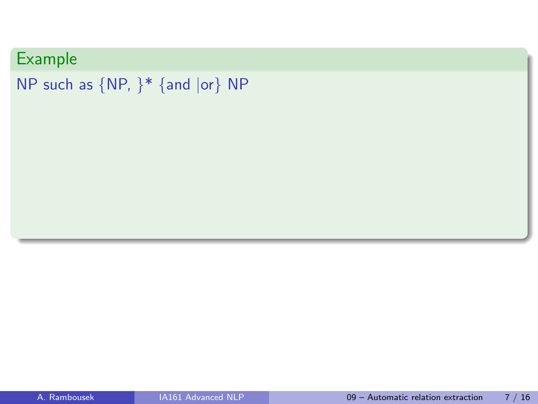```
NP such as {NP, }* {and |or} NP
```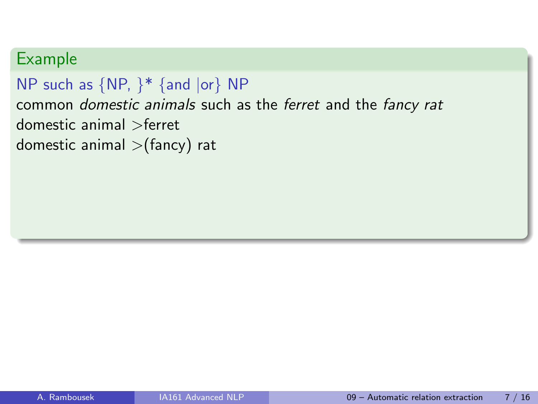```
NP such as {NP, }* {and |or} NP
common domestic animals such as the ferret and the fancy rat
domestic animal >ferret
domestic animal >(fancy) rat
```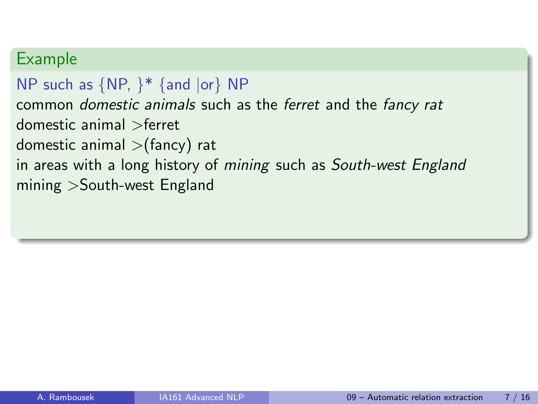```
NP such as \{NP, \}^* \{and \, |or\} NP
common domestic animals such as the ferret and the fancy rat
domestic animal >ferret
domestic animal >(fancy) rat
in areas with a long history of mining such as South-west England
mining >South-west England
```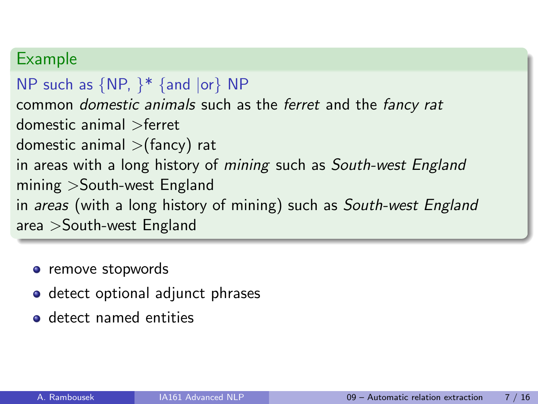```
NP such as \{NP, \}^* \{and \ or\} NP
common domestic animals such as the ferret and the fancy rat
domestic animal >ferret
domestic animal >(fancy) rat
in areas with a long history of mining such as South-west England
mining >South-west England
in areas (with a long history of mining) such as South-west England
area >South-west England
```
- remove stopwords
- detect optional adjunct phrases
- o detect named entities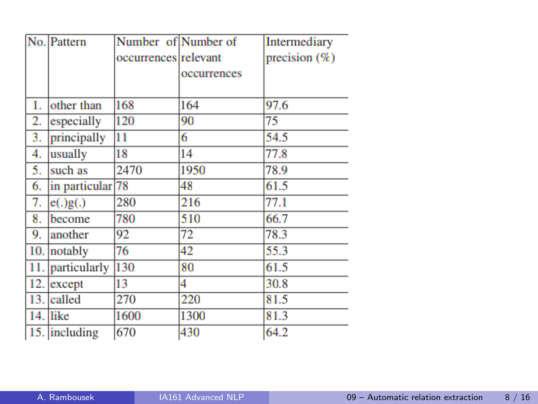|     | No. Pattern      | Number of Number of  |             | <b>Intermediary</b> |
|-----|------------------|----------------------|-------------|---------------------|
|     |                  | occurrences relevant |             | precision $(\%)$    |
|     |                  |                      | occurrences |                     |
|     |                  |                      |             |                     |
| 1.  | other than       | 168                  | 164         | 97.6                |
| 2.  | especially       | 120                  | 90          | 75                  |
| 3.  | principally      | 11                   | 6           | 54.5                |
| 4.  | usually          | 18                   | 14          | 77.8                |
| 5.  | such as          | 2470                 | 1950        | 78.9                |
| 6.  | in particular 78 |                      | 48          | 61.5                |
| 7.  | e(.)g(.)         | 280                  | 216         | 77.1                |
| 8.  | become           | 780                  | 510         | 66.7                |
| 9.  | another          | 92                   | 72          | 78.3                |
| 10. | notably          | 76                   | 42          | 55.3                |
| 11. | particularly     | 130                  | 80          | 61.5                |
|     | 12. except       | 13                   | 4           | 30.8                |
| 13. | called           | 270                  | 220         | 81.5                |
|     | $14.$ like       | 1600                 | 1300        | 81.3                |
|     | 15. including    | 670                  | 430         | 64.2                |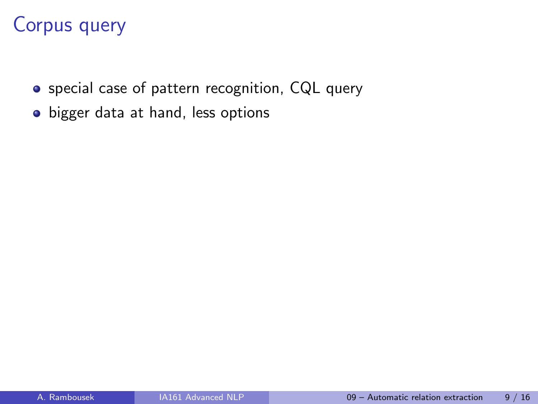# Corpus query

- special case of pattern recognition, CQL query
- bigger data at hand, less options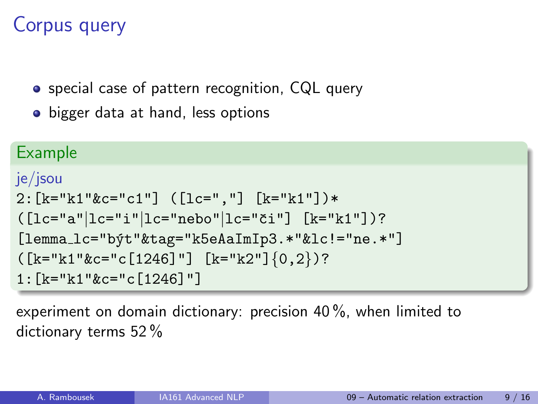# Corpus query

• special case of pattern recognition, CQL query

• bigger data at hand, less options

#### Example

```
je/jsou
2:[k="k1"&c="c1"] ([lc=","] [k="k1"])*
([lc="a"]lc="i"]lc="nebo"|lc="či"] [k="kl"])?[lemma_lc="být"&tag="k5eAaImIp3.*"&lc!="ne.*"]
([k="k1"kc="c[1246]"] [k="k2"]{0,2})?
1:[k="k1"&c="c[1246]"]
```
experiment on domain dictionary: precision 40 %, when limited to dictionary terms 52 %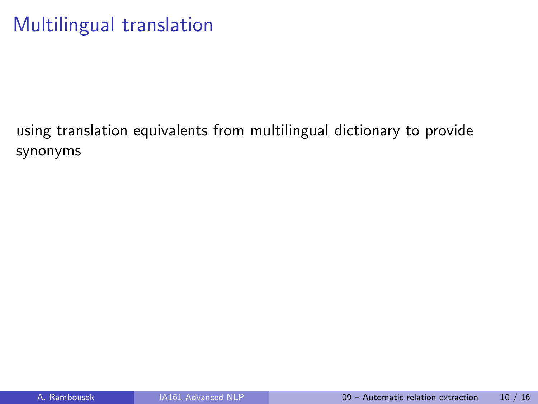# Multilingual translation

using translation equivalents from multilingual dictionary to provide synonyms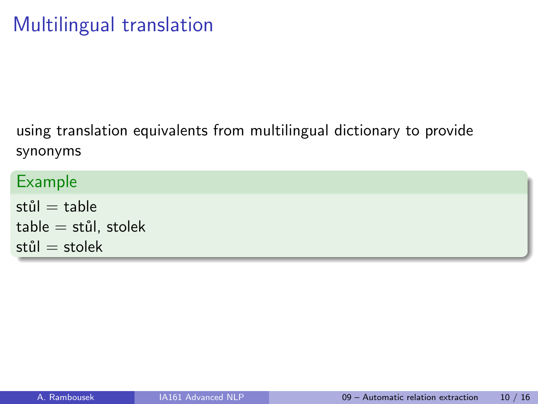using translation equivalents from multilingual dictionary to provide synonyms

| Example                  |  |
|--------------------------|--|
| stůl $=$ table           |  |
| $table = still$ , stolek |  |
| stůl $=$ stolek          |  |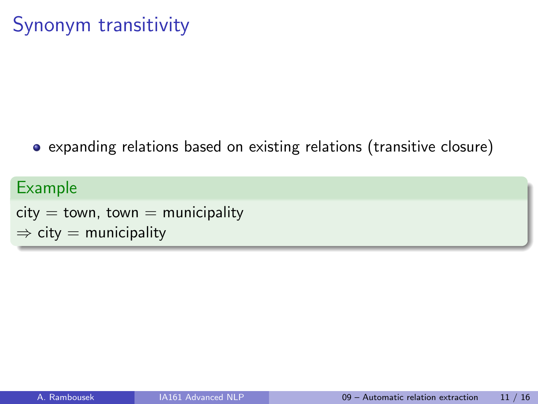expanding relations based on existing relations (transitive closure)

```
Example
city = town, town = municipality
\Rightarrow city = municipality
```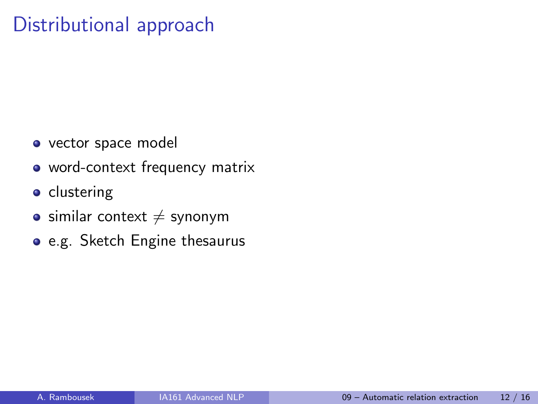# Distributional approach

- o vector space model
- word-context frequency matrix
- **•** clustering
- $\bullet$  similar context  $\neq$  synonym
- <span id="page-21-0"></span>e.g. Sketch Engine thesaurus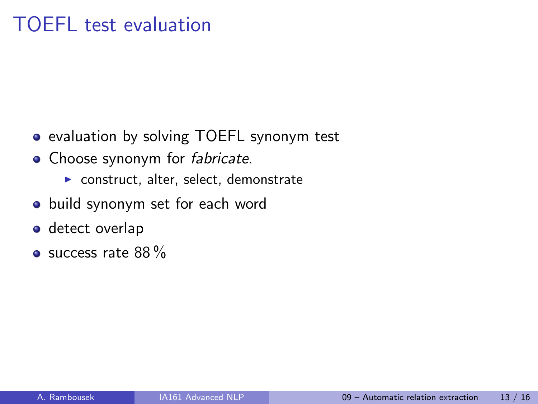# TOEFL test evaluation

- evaluation by solving TOEFL synonym test
- Choose synonym for *fabricate*.
	- $\triangleright$  construct, alter, select, demonstrate
- build synonym set for each word
- detect overlap
- <span id="page-22-0"></span> $\bullet$  success rate 88 %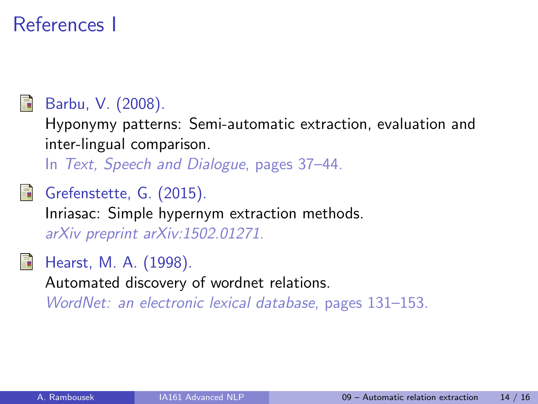# References I



## Barbu, V. (2008).

Hyponymy patterns: Semi-automatic extraction, evaluation and inter-lingual comparison.

In Text, Speech and Dialogue, pages 37–44.

Grefenstette, G. (2015). Inriasac: Simple hypernym extraction methods. arXiv preprint arXiv:1502.01271.



Hearst, M. A. (1998).

Automated discovery of wordnet relations.

WordNet: an electronic lexical database, pages 131–153.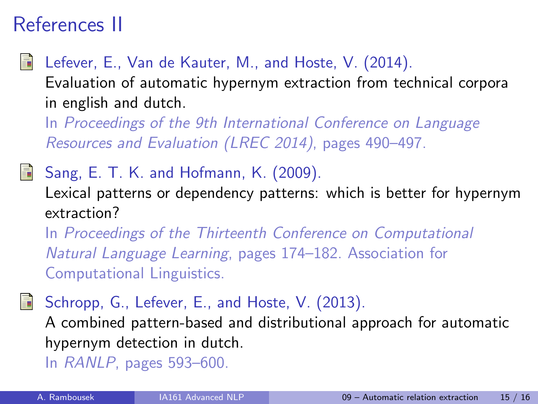# References II

Lefever, E., Van de Kauter, M., and Hoste, V. (2014).

Evaluation of automatic hypernym extraction from technical corpora in english and dutch.

In Proceedings of the 9th International Conference on Language Resources and Evaluation (LREC 2014), pages 490–497.

Sang, E. T. K. and Hofmann, K. (2009).

Lexical patterns or dependency patterns: which is better for hypernym extraction?

In Proceedings of the Thirteenth Conference on Computational Natural Language Learning, pages 174–182. Association for Computational Linguistics.

Schropp, G., Lefever, E., and Hoste, V. (2013). A combined pattern-based and distributional approach for automatic

hypernym detection in dutch.

In RANLP, pages 593–600.